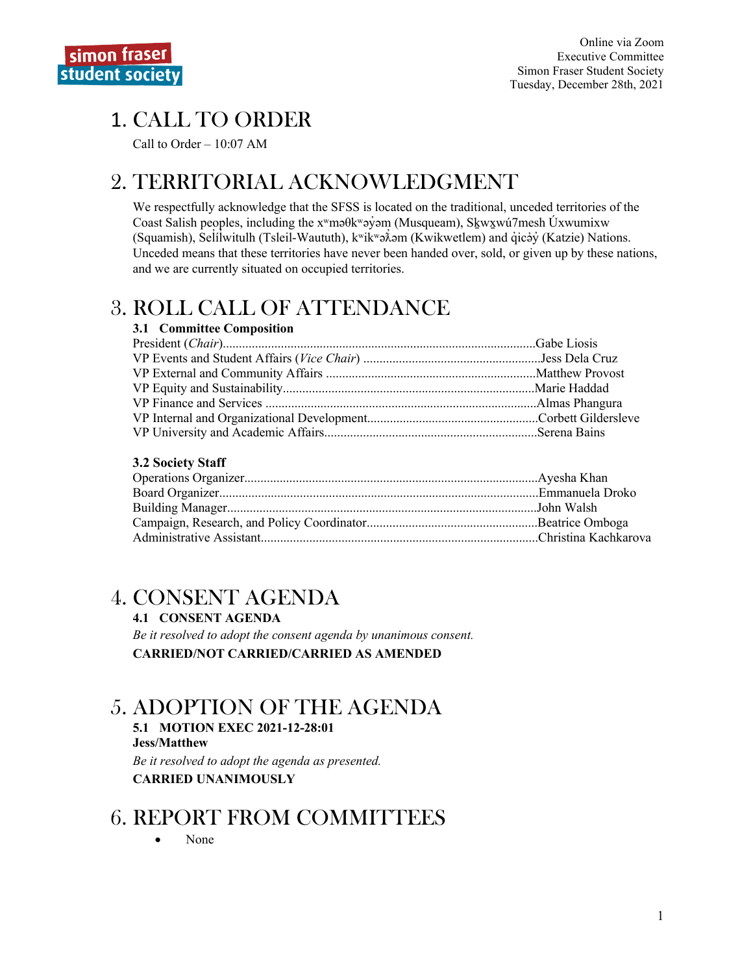# **1. CALL TO ORDER**

Call to Order  $-10:07$  AM

## 2. TERRITORIAL ACKNOWLEDGMENT

We respectfully acknowledge that the SFSS is located on the traditional, unceded territories of the Coast Salish peoples, including the  $x^w$ ma $\theta$ kwa $\dot{y}$ am (Musqueam), Skw $x^w$ u $\dot{\theta}$ mesh Úxwumixw (Squamish), Selilwitulh (Tsleil-Waututh),  $k^w$ ik $\delta^w$ ə $\delta$ əm (Kwikwetlem) and qicəy (Katzie) Nations. Unceded means that these territories have never been handed over, sold, or given up by these nations, and we are currently situated on occupied territories.

## **3. ROLL CALL OF ATTENDANCE**

### 3.1 Committee Composition

### **3.2 Society Staff**

### 4. CONSENT AGENDA

### **4.1 CONSENT AGENDA**

Be it resolved to adopt the consent agenda by unanimous consent. **CARRIED/NOT CARRIED/CARRIED AS AMENDED** 

## **5. ADOPTION OF THE AGENDA**

5.1 MOTION EXEC 2021-12-28:01 **Jess/Matthew** Be it resolved to adopt the agenda as presented.

**CARRIED UNANIMOUSLY** 

### **6. REPORT FROM COMMITTEES**

None  $\bullet$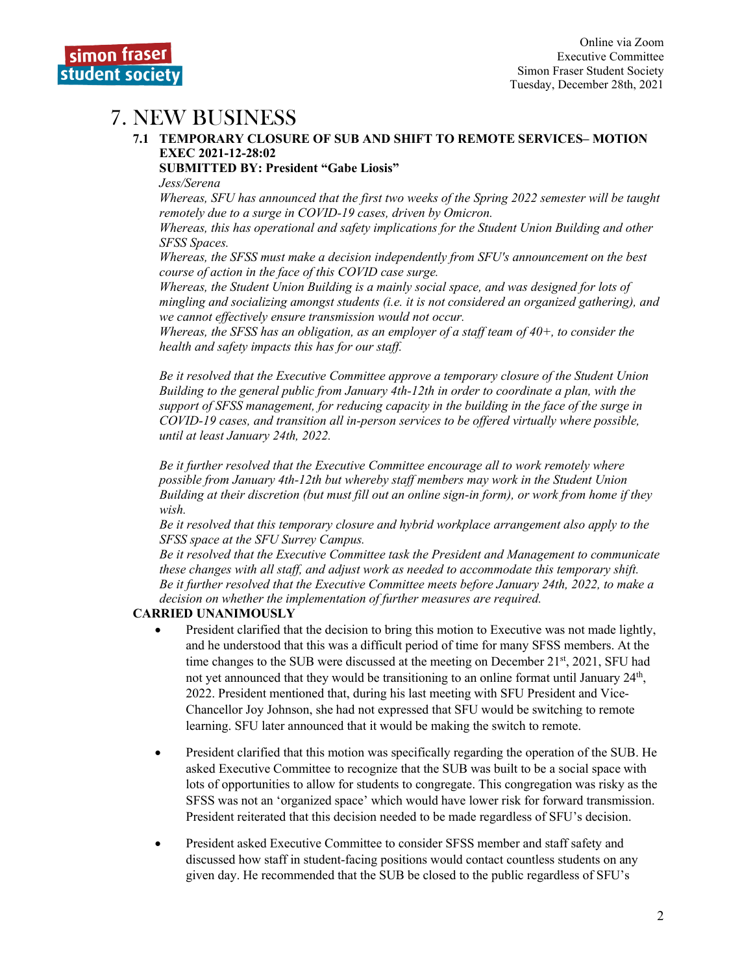### 7. NEW BUSINESS

#### **7.1 TEMPORARY CLOSURE OF SUB AND SHIFT TO REMOTE SERVICES– MOTION EXEC 2021-12-28:02**

**SUBMITTED BY: President "Gabe Liosis"** 

*Jess/Serena*

*Whereas, SFU has announced that the first two weeks of the Spring 2022 semester will be taught remotely due to a surge in COVID-19 cases, driven by Omicron.*

*Whereas, this has operational and safety implications for the Student Union Building and other SFSS Spaces.*

*Whereas, the SFSS must make a decision independently from SFU's announcement on the best course of action in the face of this COVID case surge.*

*Whereas, the Student Union Building is a mainly social space, and was designed for lots of mingling and socializing amongst students (i.e. it is not considered an organized gathering), and we cannot effectively ensure transmission would not occur.*

*Whereas, the SFSS has an obligation, as an employer of a staff team of 40+, to consider the health and safety impacts this has for our staff.*

*Be it resolved that the Executive Committee approve a temporary closure of the Student Union Building to the general public from January 4th-12th in order to coordinate a plan, with the support of SFSS management, for reducing capacity in the building in the face of the surge in COVID-19 cases, and transition all in-person services to be offered virtually where possible, until at least January 24th, 2022.*

*Be it further resolved that the Executive Committee encourage all to work remotely where possible from January 4th-12th but whereby staff members may work in the Student Union Building at their discretion (but must fill out an online sign-in form), or work from home if they wish.*

*Be it resolved that this temporary closure and hybrid workplace arrangement also apply to the SFSS space at the SFU Surrey Campus.*

*Be it resolved that the Executive Committee task the President and Management to communicate these changes with all staff, and adjust work as needed to accommodate this temporary shift. Be it further resolved that the Executive Committee meets before January 24th, 2022, to make a decision on whether the implementation of further measures are required.* 

### **CARRIED UNANIMOUSLY**

- President clarified that the decision to bring this motion to Executive was not made lightly, and he understood that this was a difficult period of time for many SFSS members. At the time changes to the SUB were discussed at the meeting on December  $21<sup>st</sup>$ , 2021, SFU had not yet announced that they would be transitioning to an online format until January  $24<sup>th</sup>$ , 2022. President mentioned that, during his last meeting with SFU President and Vice-Chancellor Joy Johnson, she had not expressed that SFU would be switching to remote learning. SFU later announced that it would be making the switch to remote.
- President clarified that this motion was specifically regarding the operation of the SUB. He asked Executive Committee to recognize that the SUB was built to be a social space with lots of opportunities to allow for students to congregate. This congregation was risky as the SFSS was not an 'organized space' which would have lower risk for forward transmission. President reiterated that this decision needed to be made regardless of SFU's decision.
- President asked Executive Committee to consider SFSS member and staff safety and discussed how staff in student-facing positions would contact countless students on any given day. He recommended that the SUB be closed to the public regardless of SFU's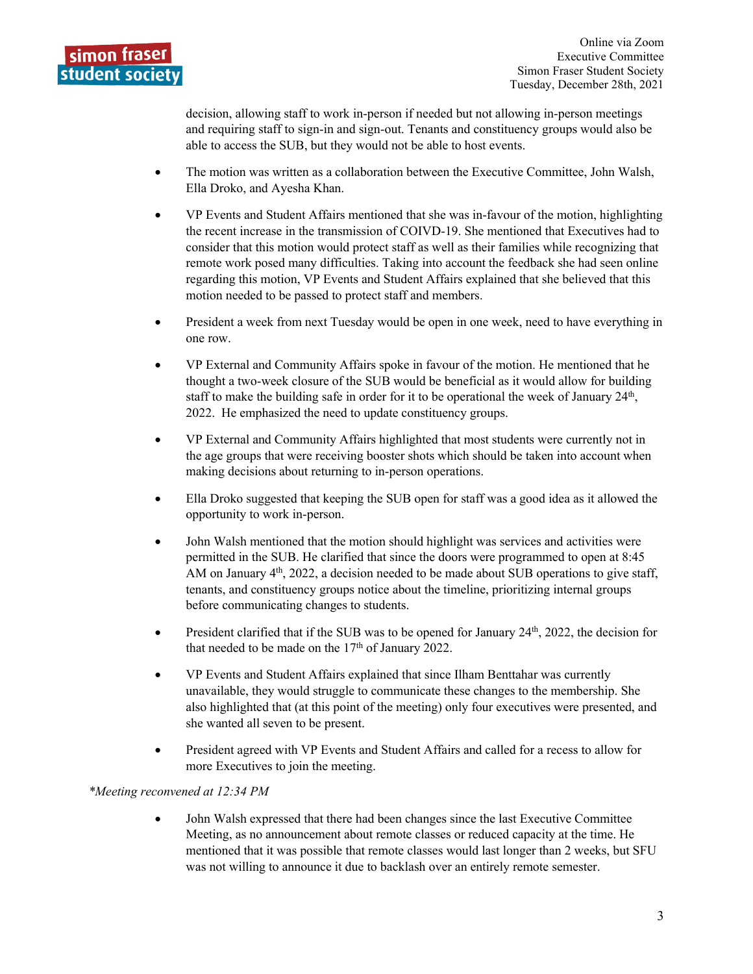

decision, allowing staff to work in-person if needed but not allowing in-person meetings and requiring staff to sign-in and sign-out. Tenants and constituency groups would also be able to access the SUB, but they would not be able to host events.

- The motion was written as a collaboration between the Executive Committee, John Walsh, Ella Droko, and Ayesha Khan.
- VP Events and Student Affairs mentioned that she was in-favour of the motion, highlighting the recent increase in the transmission of COIVD-19. She mentioned that Executives had to consider that this motion would protect staff as well as their families while recognizing that remote work posed many difficulties. Taking into account the feedback she had seen online regarding this motion, VP Events and Student Affairs explained that she believed that this motion needed to be passed to protect staff and members.
- President a week from next Tuesday would be open in one week, need to have everything in one row.
- VP External and Community Affairs spoke in favour of the motion. He mentioned that he thought a two-week closure of the SUB would be beneficial as it would allow for building staff to make the building safe in order for it to be operational the week of January  $24<sup>th</sup>$ , 2022. He emphasized the need to update constituency groups.
- VP External and Community Affairs highlighted that most students were currently not in the age groups that were receiving booster shots which should be taken into account when making decisions about returning to in-person operations.
- Ella Droko suggested that keeping the SUB open for staff was a good idea as it allowed the opportunity to work in-person.
- John Walsh mentioned that the motion should highlight was services and activities were permitted in the SUB. He clarified that since the doors were programmed to open at 8:45 AM on January  $4<sup>th</sup>$ , 2022, a decision needed to be made about SUB operations to give staff, tenants, and constituency groups notice about the timeline, prioritizing internal groups before communicating changes to students.
- President clarified that if the SUB was to be opened for January  $24<sup>th</sup>$ , 2022, the decision for that needed to be made on the  $17<sup>th</sup>$  of January 2022.
- VP Events and Student Affairs explained that since Ilham Benttahar was currently unavailable, they would struggle to communicate these changes to the membership. She also highlighted that (at this point of the meeting) only four executives were presented, and she wanted all seven to be present.
- President agreed with VP Events and Student Affairs and called for a recess to allow for more Executives to join the meeting.

### *\*Meeting reconvened at 12:34 PM*

• John Walsh expressed that there had been changes since the last Executive Committee Meeting, as no announcement about remote classes or reduced capacity at the time. He mentioned that it was possible that remote classes would last longer than 2 weeks, but SFU was not willing to announce it due to backlash over an entirely remote semester.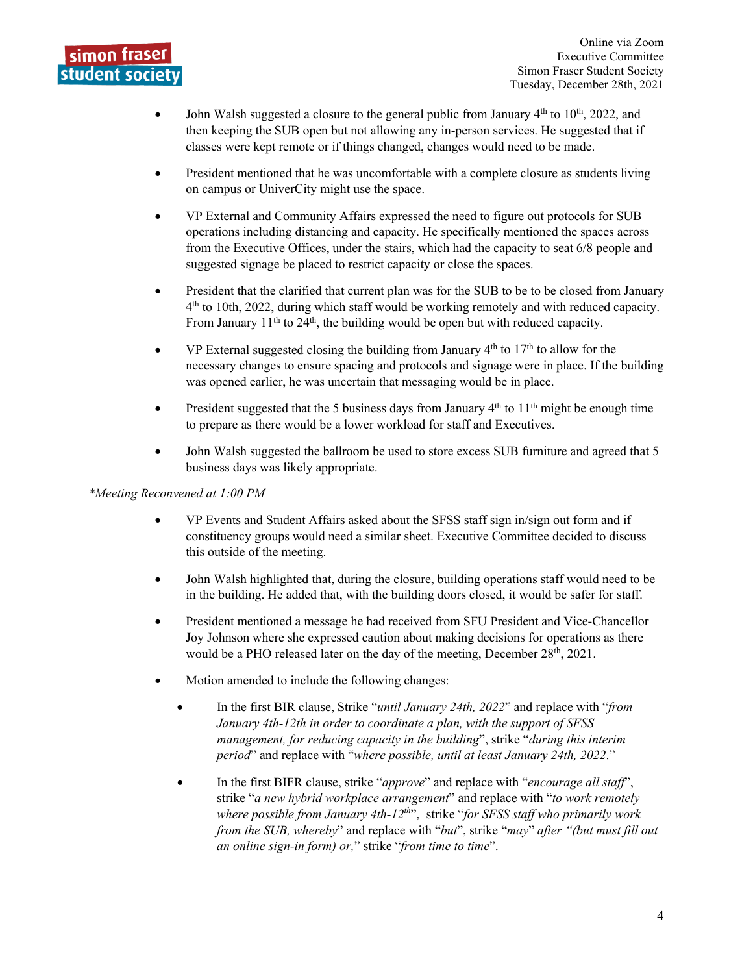

- John Walsh suggested a closure to the general public from January  $4<sup>th</sup>$  to  $10<sup>th</sup>$ , 2022, and then keeping the SUB open but not allowing any in-person services. He suggested that if classes were kept remote or if things changed, changes would need to be made.
- President mentioned that he was uncomfortable with a complete closure as students living on campus or UniverCity might use the space.
- VP External and Community Affairs expressed the need to figure out protocols for SUB operations including distancing and capacity. He specifically mentioned the spaces across from the Executive Offices, under the stairs, which had the capacity to seat 6/8 people and suggested signage be placed to restrict capacity or close the spaces.
- President that the clarified that current plan was for the SUB to be to be closed from January 4th to 10th, 2022, during which staff would be working remotely and with reduced capacity. From January  $11<sup>th</sup>$  to  $24<sup>th</sup>$ , the building would be open but with reduced capacity.
- VP External suggested closing the building from January  $4<sup>th</sup>$  to  $17<sup>th</sup>$  to allow for the necessary changes to ensure spacing and protocols and signage were in place. If the building was opened earlier, he was uncertain that messaging would be in place.
- President suggested that the 5 business days from January  $4<sup>th</sup>$  to  $11<sup>th</sup>$  might be enough time to prepare as there would be a lower workload for staff and Executives.
- John Walsh suggested the ballroom be used to store excess SUB furniture and agreed that 5 business days was likely appropriate.

#### *\*Meeting Reconvened at 1:00 PM*

- VP Events and Student Affairs asked about the SFSS staff sign in/sign out form and if constituency groups would need a similar sheet. Executive Committee decided to discuss this outside of the meeting.
- John Walsh highlighted that, during the closure, building operations staff would need to be in the building. He added that, with the building doors closed, it would be safer for staff.
- President mentioned a message he had received from SFU President and Vice-Chancellor Joy Johnson where she expressed caution about making decisions for operations as there would be a PHO released later on the day of the meeting, December 28<sup>th</sup>, 2021.
- Motion amended to include the following changes:
	- In the first BIR clause, Strike "*until January 24th, 2022*" and replace with "*from January 4th-12th in order to coordinate a plan, with the support of SFSS management, for reducing capacity in the building*", strike "*during this interim period*" and replace with "*where possible, until at least January 24th, 2022*."
	- In the first BIFR clause, strike "*approve*" and replace with "*encourage all staff*", strike "*a new hybrid workplace arrangement*" and replace with "*to work remotely where possible from January 4th-12th*", strike "*for SFSS staff who primarily work from the SUB, whereby*" and replace with "*but*", strike "*may*" *after "(but must fill out an online sign-in form) or,*" strike "*from time to time*".